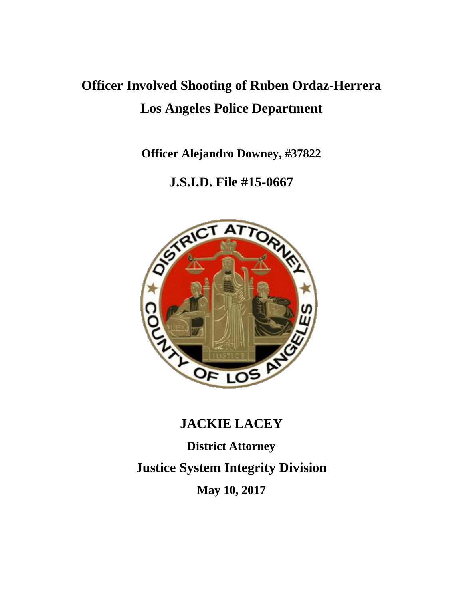# **Officer Involved Shooting of Ruben Ordaz-Herrera Los Angeles Police Department**

**Officer Alejandro Downey, #37822**

### **J.S.I.D. File #15-0667**



## **JACKIE LACEY**

**District Attorney Justice System Integrity Division May 10, 2017**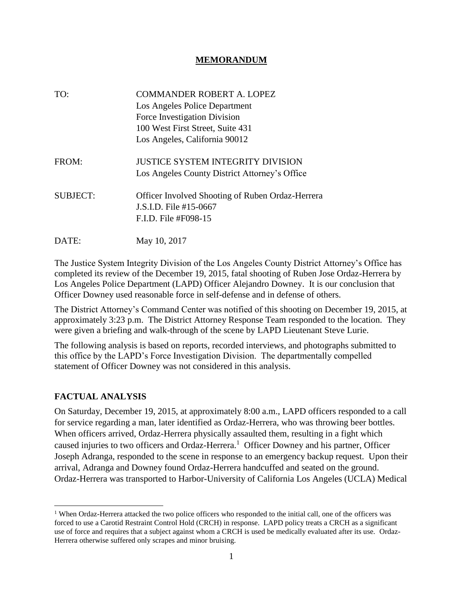#### **MEMORANDUM**

| TO:             | <b>COMMANDER ROBERT A. LOPEZ</b>                        |
|-----------------|---------------------------------------------------------|
|                 | Los Angeles Police Department                           |
|                 | Force Investigation Division                            |
|                 | 100 West First Street, Suite 431                        |
|                 | Los Angeles, California 90012                           |
| FROM:           | <b>JUSTICE SYSTEM INTEGRITY DIVISION</b>                |
|                 | Los Angeles County District Attorney's Office           |
| <b>SUBJECT:</b> | <b>Officer Involved Shooting of Ruben Ordaz-Herrera</b> |
|                 | J.S.I.D. File #15-0667                                  |
|                 | F.I.D. File #F098-15                                    |
| DATE:           | May 10, 2017                                            |

The Justice System Integrity Division of the Los Angeles County District Attorney's Office has completed its review of the December 19, 2015, fatal shooting of Ruben Jose Ordaz-Herrera by Los Angeles Police Department (LAPD) Officer Alejandro Downey. It is our conclusion that Officer Downey used reasonable force in self-defense and in defense of others.

The District Attorney's Command Center was notified of this shooting on December 19, 2015, at approximately 3:23 p.m. The District Attorney Response Team responded to the location. They were given a briefing and walk-through of the scene by LAPD Lieutenant Steve Lurie.

The following analysis is based on reports, recorded interviews, and photographs submitted to this office by the LAPD's Force Investigation Division. The departmentally compelled statement of Officer Downey was not considered in this analysis.

#### **FACTUAL ANALYSIS**

On Saturday, December 19, 2015, at approximately 8:00 a.m., LAPD officers responded to a call for service regarding a man, later identified as Ordaz-Herrera, who was throwing beer bottles. When officers arrived, Ordaz-Herrera physically assaulted them, resulting in a fight which caused injuries to two officers and Ordaz-Herrera.<sup>1</sup> Officer Downey and his partner, Officer Joseph Adranga, responded to the scene in response to an emergency backup request. Upon their arrival, Adranga and Downey found Ordaz-Herrera handcuffed and seated on the ground. Ordaz-Herrera was transported to Harbor-University of California Los Angeles (UCLA) Medical

<sup>&</sup>lt;sup>1</sup> When Ordaz-Herrera attacked the two police officers who responded to the initial call, one of the officers was forced to use a Carotid Restraint Control Hold (CRCH) in response. LAPD policy treats a CRCH as a significant use of force and requires that a subject against whom a CRCH is used be medically evaluated after its use. Ordaz-Herrera otherwise suffered only scrapes and minor bruising.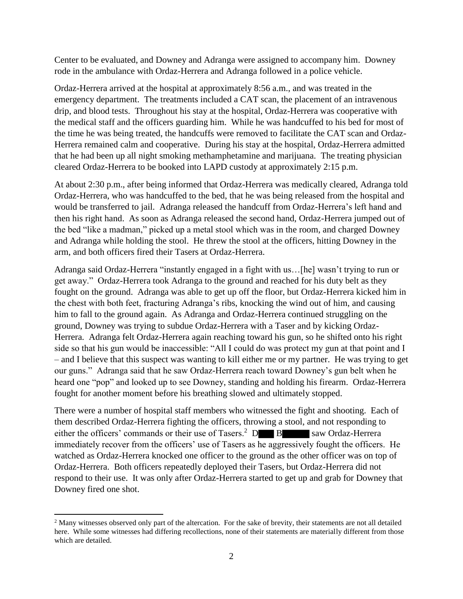Center to be evaluated, and Downey and Adranga were assigned to accompany him. Downey rode in the ambulance with Ordaz-Herrera and Adranga followed in a police vehicle.

Ordaz-Herrera arrived at the hospital at approximately 8:56 a.m., and was treated in the emergency department. The treatments included a CAT scan, the placement of an intravenous drip, and blood tests. Throughout his stay at the hospital, Ordaz-Herrera was cooperative with the medical staff and the officers guarding him. While he was handcuffed to his bed for most of the time he was being treated, the handcuffs were removed to facilitate the CAT scan and Ordaz-Herrera remained calm and cooperative. During his stay at the hospital, Ordaz-Herrera admitted that he had been up all night smoking methamphetamine and marijuana. The treating physician cleared Ordaz-Herrera to be booked into LAPD custody at approximately 2:15 p.m.

At about 2:30 p.m., after being informed that Ordaz-Herrera was medically cleared, Adranga told Ordaz-Herrera, who was handcuffed to the bed, that he was being released from the hospital and would be transferred to jail. Adranga released the handcuff from Ordaz-Herrera's left hand and then his right hand. As soon as Adranga released the second hand, Ordaz-Herrera jumped out of the bed "like a madman," picked up a metal stool which was in the room, and charged Downey and Adranga while holding the stool. He threw the stool at the officers, hitting Downey in the arm, and both officers fired their Tasers at Ordaz-Herrera.

Adranga said Ordaz-Herrera "instantly engaged in a fight with us…[he] wasn't trying to run or get away." Ordaz-Herrera took Adranga to the ground and reached for his duty belt as they fought on the ground. Adranga was able to get up off the floor, but Ordaz-Herrera kicked him in the chest with both feet, fracturing Adranga's ribs, knocking the wind out of him, and causing him to fall to the ground again. As Adranga and Ordaz-Herrera continued struggling on the ground, Downey was trying to subdue Ordaz-Herrera with a Taser and by kicking Ordaz-Herrera. Adranga felt Ordaz-Herrera again reaching toward his gun, so he shifted onto his right side so that his gun would be inaccessible: "All I could do was protect my gun at that point and I – and I believe that this suspect was wanting to kill either me or my partner. He was trying to get our guns." Adranga said that he saw Ordaz-Herrera reach toward Downey's gun belt when he heard one "pop" and looked up to see Downey, standing and holding his firearm. Ordaz-Herrera fought for another moment before his breathing slowed and ultimately stopped.

There were a number of hospital staff members who witnessed the fight and shooting. Each of them described Ordaz-Herrera fighting the officers, throwing a stool, and not responding to either the officers' commands or their use of Tasers.<sup>2</sup>  $\bf{D}$   $\bf{B}$  saw Ordaz-Herrera immediately recover from the officers' use of Tasers as he aggressively fought the officers. He watched as Ordaz-Herrera knocked one officer to the ground as the other officer was on top of Ordaz-Herrera. Both officers repeatedly deployed their Tasers, but Ordaz-Herrera did not respond to their use. It was only after Ordaz-Herrera started to get up and grab for Downey that Downey fired one shot.

<sup>&</sup>lt;sup>2</sup> Many witnesses observed only part of the altercation. For the sake of brevity, their statements are not all detailed here. While some witnesses had differing recollections, none of their statements are materially different from those which are detailed.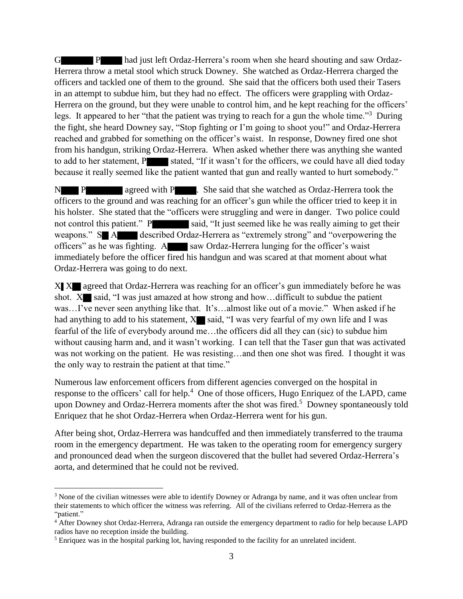G P had just left Ordaz-Herrera's room when she heard shouting and saw Ordaz-Herrera throw a metal stool which struck Downey. She watched as Ordaz-Herrera charged the officers and tackled one of them to the ground. She said that the officers both used their Tasers in an attempt to subdue him, but they had no effect. The officers were grappling with Ordaz-Herrera on the ground, but they were unable to control him, and he kept reaching for the officers' legs. It appeared to her "that the patient was trying to reach for a gun the whole time."<sup>3</sup> During the fight, she heard Downey say, "Stop fighting or I'm going to shoot you!" and Ordaz-Herrera reached and grabbed for something on the officer's waist. In response, Downey fired one shot from his handgun, striking Ordaz-Herrera. When asked whether there was anything she wanted to add to her statement, P stated, "If it wasn't for the officers, we could have all died today because it really seemed like the patient wanted that gun and really wanted to hurt somebody."

N P agreed with P . She said that she watched as Ordaz-Herrera took the officers to the ground and was reaching for an officer's gun while the officer tried to keep it in his holster. She stated that the "officers were struggling and were in danger. Two police could not control this patient." P said, "It just seemed like he was really aiming to get their weapons." S A described Ordaz-Herrera as "extremely strong" and "overpowering the officers" as he was fighting. A saw Ordaz-Herrera lunging for the officer's waist immediately before the officer fired his handgun and was scared at that moment about what Ordaz-Herrera was going to do next.

X X agreed that Ordaz-Herrera was reaching for an officer's gun immediately before he was shot.  $X$  said, "I was just amazed at how strong and how... difficult to subdue the patient was…I've never seen anything like that. It's…almost like out of a movie." When asked if he had anything to add to his statement,  $X$  said, "I was very fearful of my own life and I was fearful of the life of everybody around me…the officers did all they can (sic) to subdue him without causing harm and, and it wasn't working. I can tell that the Taser gun that was activated was not working on the patient. He was resisting…and then one shot was fired. I thought it was the only way to restrain the patient at that time."

Numerous law enforcement officers from different agencies converged on the hospital in response to the officers' call for help.<sup>4</sup> One of those officers, Hugo Enriquez of the LAPD, came upon Downey and Ordaz-Herrera moments after the shot was fired.<sup>5</sup> Downey spontaneously told Enriquez that he shot Ordaz-Herrera when Ordaz-Herrera went for his gun.

After being shot, Ordaz-Herrera was handcuffed and then immediately transferred to the trauma room in the emergency department. He was taken to the operating room for emergency surgery and pronounced dead when the surgeon discovered that the bullet had severed Ordaz-Herrera's aorta, and determined that he could not be revived.

l

<sup>&</sup>lt;sup>3</sup> None of the civilian witnesses were able to identify Downey or Adranga by name, and it was often unclear from their statements to which officer the witness was referring. All of the civilians referred to Ordaz-Herrera as the "patient."

<sup>&</sup>lt;sup>4</sup> After Downey shot Ordaz-Herrera, Adranga ran outside the emergency department to radio for help because LAPD radios have no reception inside the building.

<sup>5</sup> Enriquez was in the hospital parking lot, having responded to the facility for an unrelated incident.